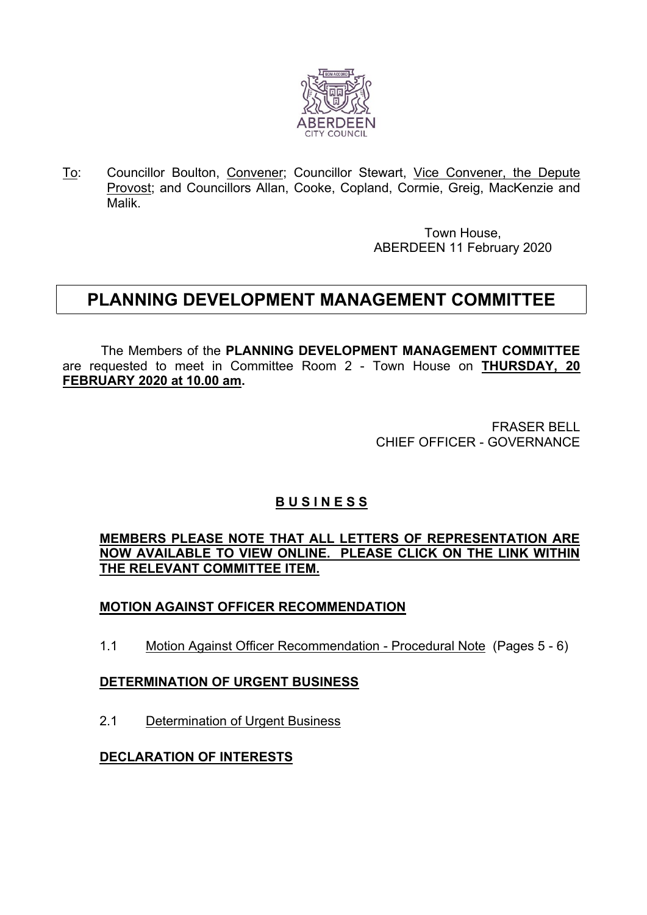

To: Councillor Boulton, Convener; Councillor Stewart, Vice Convener, the Depute Provost; and Councillors Allan, Cooke, Copland, Cormie, Greig, MacKenzie and Malik.

> Town House, ABERDEEN 11 February 2020

# **PLANNING DEVELOPMENT MANAGEMENT COMMITTEE**

The Members of the **PLANNING DEVELOPMENT MANAGEMENT COMMITTEE** are requested to meet in Committee Room 2 - Town House on **THURSDAY, 20 FEBRUARY 2020 at 10.00 am.**

> FRASER BELL CHIEF OFFICER - GOVERNANCE

## **B U S I N E S S**

**MEMBERS PLEASE NOTE THAT ALL LETTERS OF REPRESENTATION ARE NOW AVAILABLE TO VIEW ONLINE. PLEASE CLICK ON THE LINK WITHIN THE RELEVANT COMMITTEE ITEM.**

### **MOTION AGAINST OFFICER RECOMMENDATION**

1.1 Motion Against Officer Recommendation - Procedural Note (Pages 5 - 6)

#### **DETERMINATION OF URGENT BUSINESS**

2.1 Determination of Urgent Business

#### **DECLARATION OF INTERESTS**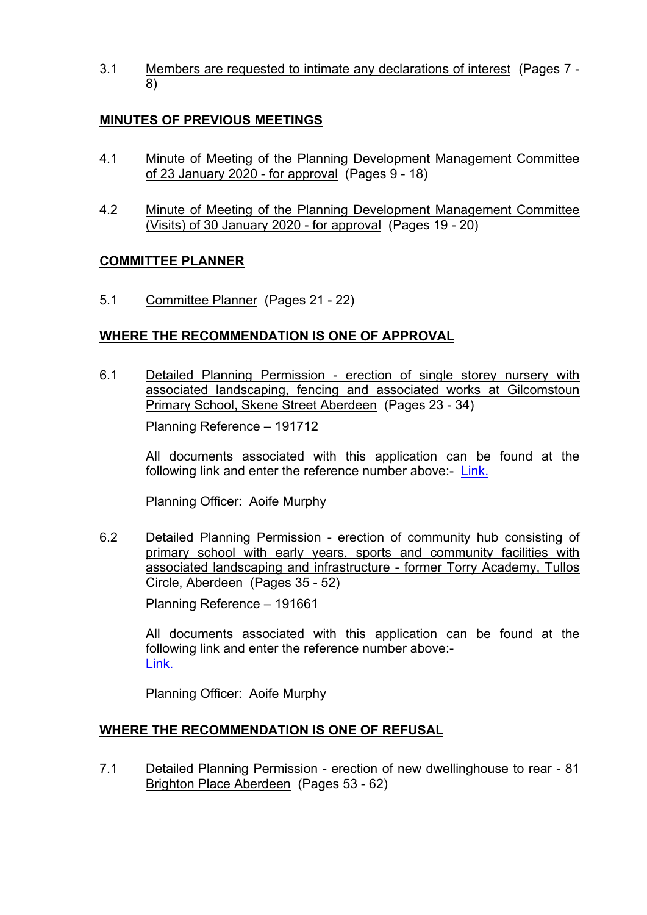3.1 Members are requested to intimate any declarations of interest (Pages 7 - 8)

#### **MINUTES OF PREVIOUS MEETINGS**

- 4.1 Minute of Meeting of the Planning Development Management Committee of 23 January 2020 - for approval (Pages 9 - 18)
- 4.2 Minute of Meeting of the Planning Development Management Committee (Visits) of 30 January 2020 - for approval (Pages 19 - 20)

#### **COMMITTEE PLANNER**

5.1 Committee Planner (Pages 21 - 22)

#### **WHERE THE RECOMMENDATION IS ONE OF APPROVAL**

6.1 Detailed Planning Permission - erection of single storey nursery with associated landscaping, fencing and associated works at Gilcomstoun Primary School, Skene Street Aberdeen (Pages 23 - 34)

Planning Reference – 191712

All documents associated with this application can be found at the following link and enter the reference number above:- [Link.](https://publicaccess.aberdeencity.gov.uk/online-applications/)

Planning Officer: Aoife Murphy

6.2 Detailed Planning Permission - erection of community hub consisting of primary school with early years, sports and community facilities with associated landscaping and infrastructure - former Torry Academy, Tullos Circle, Aberdeen (Pages 35 - 52)

Planning Reference – 191661

All documents associated with this application can be found at the following link and enter the reference number above:- [Link.](https://publicaccess.aberdeencity.gov.uk/online-applications/)

Planning Officer: Aoife Murphy

#### **WHERE THE RECOMMENDATION IS ONE OF REFUSAL**

7.1 Detailed Planning Permission - erection of new dwellinghouse to rear - 81 Brighton Place Aberdeen (Pages 53 - 62)